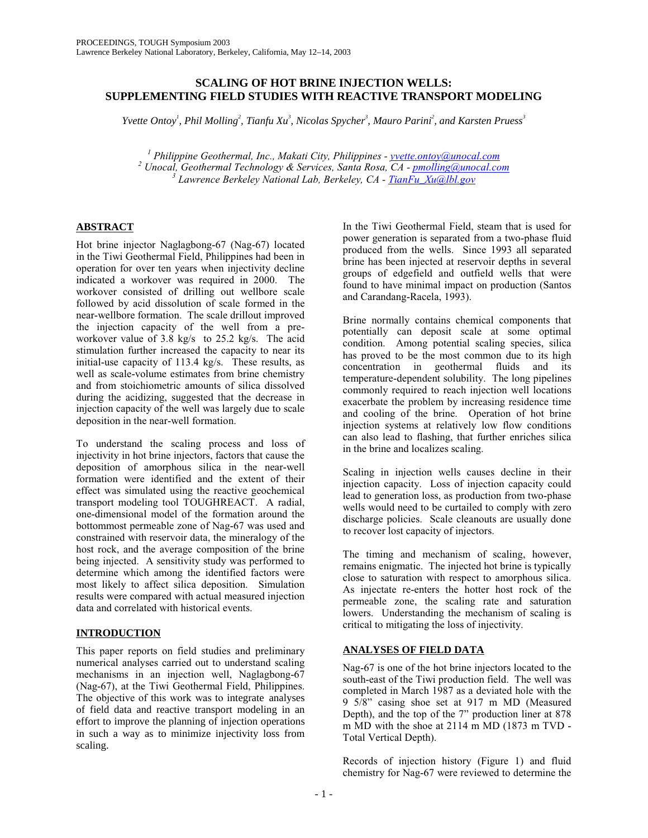# **SCALING OF HOT BRINE INJECTION WELLS: SUPPLEMENTING FIELD STUDIES WITH REACTIVE TRANSPORT MODELING**

*Yvette Ontoy<sup>1</sup>, Phil Molling<sup>2</sup>, Tianfu Xu<sup>3</sup>, Nicolas Spycher<sup>3</sup>, Mauro Parini<sup>2</sup>, and Karsten Pruess<sup>3</sup>* 

<sup>1</sup> Philippine Geothermal, Inc., Makati City, Philippines - <u>yvette.ontoy@unocal.com</u><br><sup>2</sup> Unocal, Geothermal Technology & Semices, Santa Bosa, CA, nmelling@unocal.com  *Unocal, Geothermal Technology & Services, Santa Rosa, CA - pmolling@unocal.com <sup>3</sup> Lawrence Berkeley National Lab, Berkeley, CA - TianFu\_Xu@lbl.gov*

# **ABSTRACT**

Hot brine injector Naglagbong-67 (Nag-67) located in the Tiwi Geothermal Field, Philippines had been in operation for over ten years when injectivity decline indicated a workover was required in 2000. The workover consisted of drilling out wellbore scale followed by acid dissolution of scale formed in the near-wellbore formation. The scale drillout improved the injection capacity of the well from a preworkover value of 3.8 kg/s to 25.2 kg/s. The acid stimulation further increased the capacity to near its initial-use capacity of 113.4 kg/s. These results, as well as scale-volume estimates from brine chemistry and from stoichiometric amounts of silica dissolved during the acidizing, suggested that the decrease in injection capacity of the well was largely due to scale deposition in the near-well formation.

To understand the scaling process and loss of injectivity in hot brine injectors, factors that cause the deposition of amorphous silica in the near-well formation were identified and the extent of their effect was simulated using the reactive geochemical transport modeling tool TOUGHREACT. A radial, one-dimensional model of the formation around the bottommost permeable zone of Nag-67 was used and constrained with reservoir data, the mineralogy of the host rock, and the average composition of the brine being injected. A sensitivity study was performed to determine which among the identified factors were most likely to affect silica deposition. Simulation results were compared with actual measured injection data and correlated with historical events.

# **INTRODUCTION**

This paper reports on field studies and preliminary numerical analyses carried out to understand scaling mechanisms in an injection well, Naglagbong-67 (Nag-67), at the Tiwi Geothermal Field, Philippines. The objective of this work was to integrate analyses of field data and reactive transport modeling in an effort to improve the planning of injection operations in such a way as to minimize injectivity loss from scaling.

In the Tiwi Geothermal Field, steam that is used for power generation is separated from a two-phase fluid produced from the wells. Since 1993 all separated brine has been injected at reservoir depths in several groups of edgefield and outfield wells that were found to have minimal impact on production (Santos and Carandang-Racela, 1993).

Brine normally contains chemical components that potentially can deposit scale at some optimal condition. Among potential scaling species, silica has proved to be the most common due to its high concentration in geothermal fluids and its temperature-dependent solubility. The long pipelines commonly required to reach injection well locations exacerbate the problem by increasing residence time and cooling of the brine. Operation of hot brine injection systems at relatively low flow conditions can also lead to flashing, that further enriches silica in the brine and localizes scaling.

Scaling in injection wells causes decline in their injection capacity. Loss of injection capacity could lead to generation loss, as production from two-phase wells would need to be curtailed to comply with zero discharge policies. Scale cleanouts are usually done to recover lost capacity of injectors.

The timing and mechanism of scaling, however, remains enigmatic. The injected hot brine is typically close to saturation with respect to amorphous silica. As injectate re-enters the hotter host rock of the permeable zone, the scaling rate and saturation lowers. Understanding the mechanism of scaling is critical to mitigating the loss of injectivity.

# **ANALYSES OF FIELD DATA**

Nag-67 is one of the hot brine injectors located to the south-east of the Tiwi production field. The well was completed in March 1987 as a deviated hole with the 9 5/8" casing shoe set at 917 m MD (Measured Depth), and the top of the 7" production liner at 878 m MD with the shoe at 2114 m MD (1873 m TVD - Total Vertical Depth).

Records of injection history (Figure 1) and fluid chemistry for Nag-67 were reviewed to determine the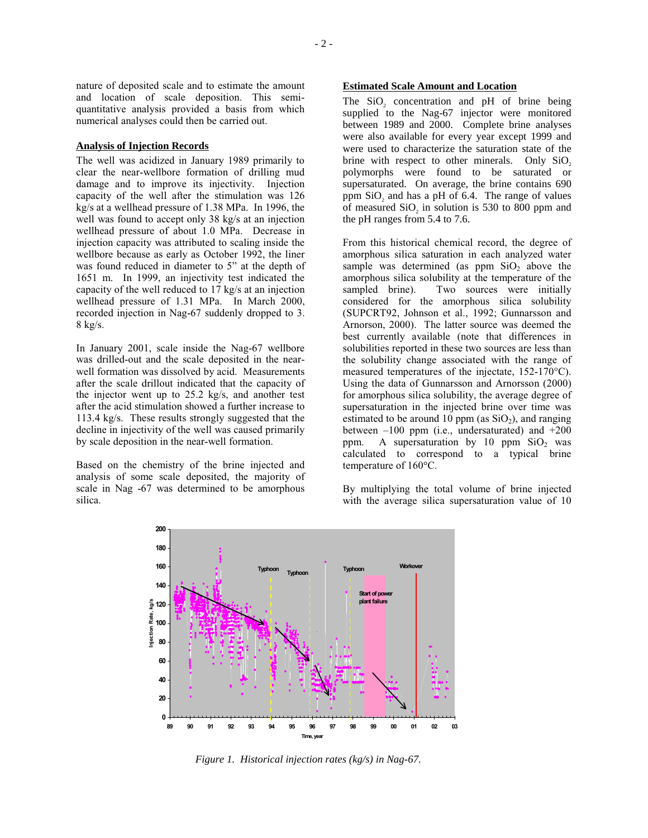and location of scale deposition. This semiquantitative analysis provided a basis from which numerical analyses could then be carried out.

### **Analysis of Injection Records**

The well was acidized in January 1989 primarily to clear the near-wellbore formation of drilling mud damage and to improve its injectivity. Injection capacity of the well after the stimulation was 126 kg/s at a wellhead pressure of 1.38 MPa. In 1996, the well was found to accept only 38 kg/s at an injection wellhead pressure of about 1.0 MPa. Decrease in injection capacity was attributed to scaling inside the wellbore because as early as October 1992, the liner was found reduced in diameter to 5" at the depth of 1651 m. In 1999, an injectivity test indicated the capacity of the well reduced to 17 kg/s at an injection wellhead pressure of 1.31 MPa. In March 2000, recorded injection in Nag-67 suddenly dropped to 3. 8 kg/s.

In January 2001, scale inside the Nag-67 wellbore was drilled-out and the scale deposited in the nearwell formation was dissolved by acid. Measurements after the scale drillout indicated that the capacity of the injector went up to 25.2 kg/s, and another test after the acid stimulation showed a further increase to 113.4 kg/s. These results strongly suggested that the decline in injectivity of the well was caused primarily by scale deposition in the near-well formation.

Based on the chemistry of the brine injected and analysis of some scale deposited, the majority of scale in Nag -67 was determined to be amorphous silica.

# **Estimated Scale Amount and Location**

The SiO<sub>2</sub> concentration and pH of brine being supplied to the Nag-67 injector were monitored between 1989 and 2000. Complete brine analyses were also available for every year except 1999 and were used to characterize the saturation state of the brine with respect to other minerals. Only SiO<sub>2</sub> polymorphs were found to be saturated or supersaturated. On average, the brine contains 690 ppm  $SiO<sub>2</sub>$  and has a pH of 6.4. The range of values of measured  $SiO<sub>2</sub>$  in solution is 530 to 800 ppm and the pH ranges from 5.4 to 7.6.

From this historical chemical record, the degree of amorphous silica saturation in each analyzed water sample was determined (as ppm  $SiO<sub>2</sub>$  above the amorphous silica solubility at the temperature of the sampled brine). Two sources were initially considered for the amorphous silica solubility (SUPCRT92, Johnson et al., 1992; Gunnarsson and Arnorson, 2000). The latter source was deemed the best currently available (note that differences in solubilities reported in these two sources are less than the solubility change associated with the range of measured temperatures of the injectate, 152-170°C). Using the data of Gunnarsson and Arnorsson (2000) for amorphous silica solubility, the average degree of supersaturation in the injected brine over time was estimated to be around 10 ppm (as  $SiO<sub>2</sub>$ ), and ranging between  $-100$  ppm (i.e., undersaturated) and  $+200$ <br>ppm. A supersaturation by 10 ppm SiO<sub>2</sub> was A supersaturation by 10 ppm  $SiO<sub>2</sub>$  was calculated to correspond to a typical brine temperature of 160°C.

By multiplying the total volume of brine injected with the average silica supersaturation value of 10



*Figure 1. Historical injection rates (kg/s) in Nag-67.*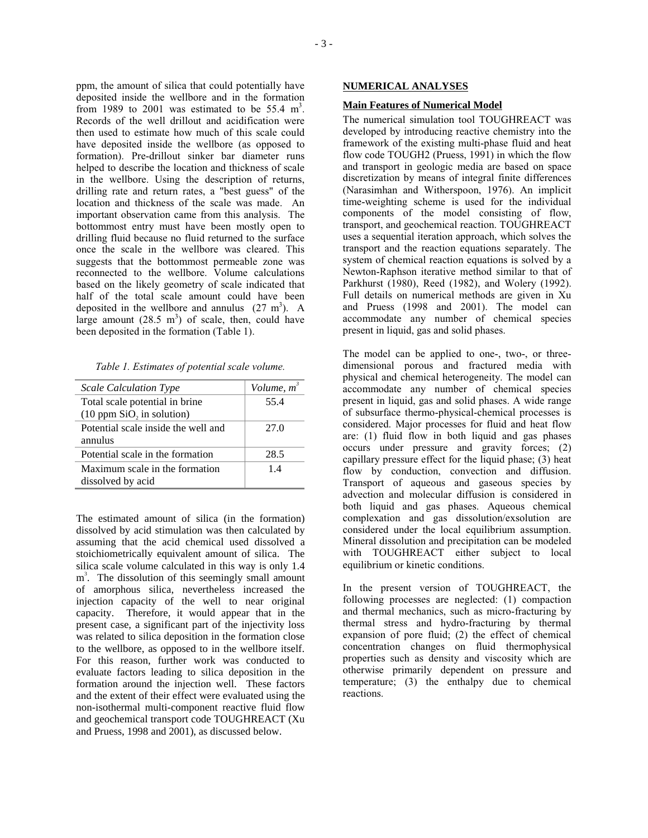ppm, the amount of silica that could potentially have deposited inside the wellbore and in the formation from 1989 to 2001 was estimated to be 55.4  $m<sup>3</sup>$ . Records of the well drillout and acidification were then used to estimate how much of this scale could have deposited inside the wellbore (as opposed to formation). Pre-drillout sinker bar diameter runs helped to describe the location and thickness of scale in the wellbore. Using the description of returns, drilling rate and return rates, a "best guess" of the location and thickness of the scale was made. An important observation came from this analysis. The bottommost entry must have been mostly open to drilling fluid because no fluid returned to the surface once the scale in the wellbore was cleared. This suggests that the bottommost permeable zone was reconnected to the wellbore. Volume calculations based on the likely geometry of scale indicated that half of the total scale amount could have been deposited in the wellbore and annulus  $(27 \text{ m}^3)$ . A large amount  $(28.5 \text{ m}^3)$  of scale, then, could have

*Table 1. Estimates of potential scale volume.* 

been deposited in the formation (Table 1).

| <b>Scale Calculation Type</b>                               | Volume, m <sup>3</sup> |
|-------------------------------------------------------------|------------------------|
| Total scale potential in brine<br>(10 ppm SiO, in solution) | 55.4                   |
| Potential scale inside the well and<br>annulus              | 27.0                   |
| Potential scale in the formation                            | 28.5                   |
| Maximum scale in the formation<br>dissolved by acid         | 1.4                    |

The estimated amount of silica (in the formation) dissolved by acid stimulation was then calculated by assuming that the acid chemical used dissolved a stoichiometrically equivalent amount of silica. The silica scale volume calculated in this way is only 1.4 m<sup>3</sup>. The dissolution of this seemingly small amount of amorphous silica, nevertheless increased the injection capacity of the well to near original capacity. Therefore, it would appear that in the present case, a significant part of the injectivity loss was related to silica deposition in the formation close to the wellbore, as opposed to in the wellbore itself. For this reason, further work was conducted to evaluate factors leading to silica deposition in the formation around the injection well. These factors and the extent of their effect were evaluated using the non-isothermal multi-component reactive fluid flow and geochemical transport code TOUGHREACT (Xu and Pruess, 1998 and 2001), as discussed below.

# **NUMERICAL ANALYSES**

#### **Main Features of Numerical Model**

The numerical simulation tool TOUGHREACT was developed by introducing reactive chemistry into the framework of the existing multi-phase fluid and heat flow code TOUGH2 (Pruess, 1991) in which the flow and transport in geologic media are based on space discretization by means of integral finite differences (Narasimhan and Witherspoon, 1976). An implicit time-weighting scheme is used for the individual components of the model consisting of flow, transport, and geochemical reaction. TOUGHREACT uses a sequential iteration approach, which solves the transport and the reaction equations separately. The system of chemical reaction equations is solved by a Newton-Raphson iterative method similar to that of Parkhurst (1980), Reed (1982), and Wolery (1992). Full details on numerical methods are given in Xu and Pruess (1998 and 2001). The model can accommodate any number of chemical species present in liquid, gas and solid phases.

The model can be applied to one-, two-, or threedimensional porous and fractured media with physical and chemical heterogeneity. The model can accommodate any number of chemical species present in liquid, gas and solid phases. A wide range of subsurface thermo-physical-chemical processes is considered. Major processes for fluid and heat flow are: (1) fluid flow in both liquid and gas phases occurs under pressure and gravity forces; (2) capillary pressure effect for the liquid phase; (3) heat flow by conduction, convection and diffusion. Transport of aqueous and gaseous species by advection and molecular diffusion is considered in both liquid and gas phases. Aqueous chemical complexation and gas dissolution/exsolution are considered under the local equilibrium assumption. Mineral dissolution and precipitation can be modeled with TOUGHREACT either subject to local equilibrium or kinetic conditions.

In the present version of TOUGHREACT, the following processes are neglected: (1) compaction and thermal mechanics, such as micro-fracturing by thermal stress and hydro-fracturing by thermal expansion of pore fluid; (2) the effect of chemical concentration changes on fluid thermophysical properties such as density and viscosity which are otherwise primarily dependent on pressure and temperature; (3) the enthalpy due to chemical reactions.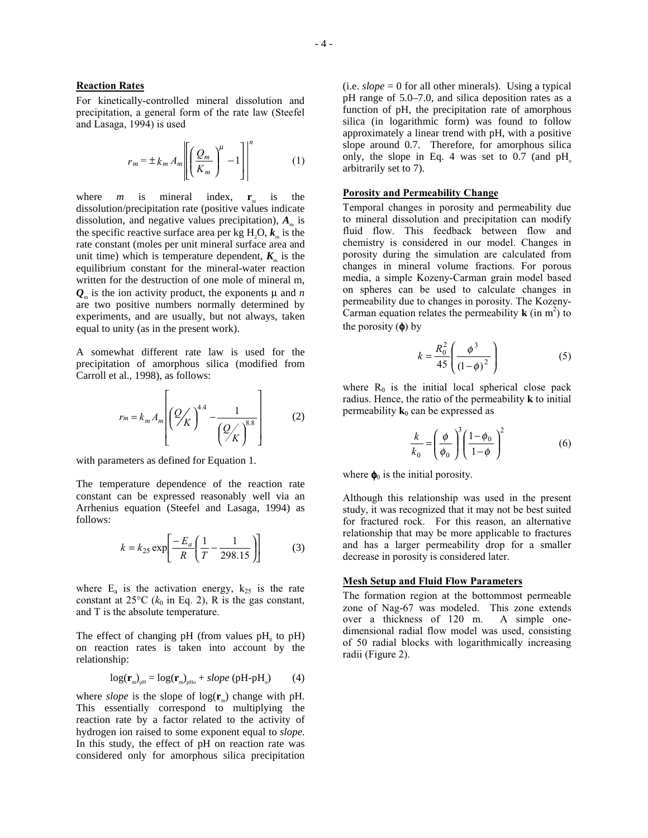### **Reaction Rates**

For kinetically-controlled mineral dissolution and precipitation, a general form of the rate law (Steefel and Lasaga, 1994) is used

$$
r_m = \pm k_m A_m \left[ \left( \frac{Q_m}{K_m} \right)^{\mu} - 1 \right]^{n}
$$
 (1)

where *m* is mineral index,  $\mathbf{r}_{m}$  is the dissolution/precipitation rate (positive values indicate dissolution, and negative values precipitation),  $A<sub>m</sub>$  is the specific reactive surface area per kg  $H_2O$ ,  $k_m$  is the rate constant (moles per unit mineral surface area and unit time) which is temperature dependent,  $K<sub>m</sub>$  is the equilibrium constant for the mineral-water reaction written for the destruction of one mole of mineral m,  $Q_m$  is the ion activity product, the exponents  $\mu$  and *n* are two positive numbers normally determined by experiments, and are usually, but not always, taken equal to unity (as in the present work).

A somewhat different rate law is used for the precipitation of amorphous silica (modified from Carroll et al., 1998), as follows:

$$
r_m = k_m A_m \left[ \left( \frac{Q}{K} \right)^{4.4} - \frac{1}{\left( \frac{Q}{K} \right)^{8.8}} \right] \tag{2}
$$

with parameters as defined for Equation 1.

The temperature dependence of the reaction rate constant can be expressed reasonably well via an Arrhenius equation (Steefel and Lasaga, 1994) as follows:

$$
k = k_{25} \exp\left[\frac{-E_a}{R} \left(\frac{1}{T} - \frac{1}{298.15}\right)\right]
$$
 (3)

where  $E_a$  is the activation energy,  $k_{25}$  is the rate constant at  $25^{\circ}C$  ( $k_0$  in Eq. 2), R is the gas constant, and T is the absolute temperature.

The effect of changing pH (from values  $pH_0$  to  $pH$ ) on reaction rates is taken into account by the relationship:

$$
\log(\mathbf{r}_{\mathrm{m}})_{\mathrm{pH}} = \log(\mathbf{r}_{\mathrm{m}})_{\mathrm{pHo}} + slope \text{ (pH-pH}_{\mathrm{o}}) \tag{4}
$$

where *slope* is the slope of  $log(r_m)$  change with pH. This essentially correspond to multiplying the reaction rate by a factor related to the activity of hydrogen ion raised to some exponent equal to *slope*. In this study, the effect of pH on reaction rate was considered only for amorphous silica precipitation (i.e.  $slope = 0$  for all other minerals). Using a typical pH range of 5.0–7.0, and silica deposition rates as a function of pH, the precipitation rate of amorphous silica (in logarithmic form) was found to follow approximately a linear trend with pH, with a positive slope around 0.7. Therefore, for amorphous silica only, the slope in Eq. 4 was set to  $0.7$  (and  $pH_0$ arbitrarily set to 7).

### **Porosity and Permeability Change**

Temporal changes in porosity and permeability due to mineral dissolution and precipitation can modify fluid flow. This feedback between flow and chemistry is considered in our model. Changes in porosity during the simulation are calculated from changes in mineral volume fractions. For porous media, a simple Kozeny-Carman grain model based on spheres can be used to calculate changes in permeability due to changes in porosity. The Kozeny-Carman equation relates the permeability  $\bf{k}$  (in m<sup>2</sup>) to the porosity  $(\phi)$  by

$$
k = \frac{R_0^2}{45} \left( \frac{\phi^3}{(1 - \phi)^2} \right)
$$
 (5)

where  $R_0$  is the initial local spherical close pack radius. Hence, the ratio of the permeability **k** to initial permeability  $\mathbf{k}_0$  can be expressed as

$$
\frac{k}{k_0} = \left(\frac{\phi}{\phi_0}\right)^3 \left(\frac{1-\phi_0}{1-\phi}\right)^2\tag{6}
$$

where  $\phi_0$  is the initial porosity.

Although this relationship was used in the present study, it was recognized that it may not be best suited for fractured rock. For this reason, an alternative relationship that may be more applicable to fractures and has a larger permeability drop for a smaller decrease in porosity is considered later.

# **Mesh Setup and Fluid Flow Parameters**

The formation region at the bottommost permeable zone of Nag-67 was modeled. This zone extends over a thickness of 120 m. A simple onedimensional radial flow model was used, consisting of 50 radial blocks with logarithmically increasing radii (Figure 2).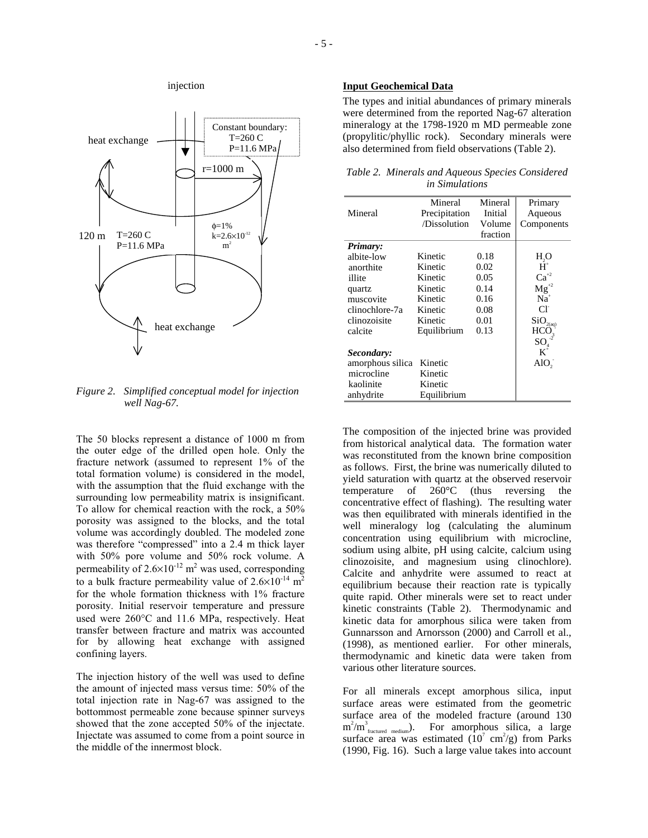

*Figure 2. Simplified conceptual model for injection well Nag-67.* 

The 50 blocks represent a distance of 1000 m from the outer edge of the drilled open hole. Only the fracture network (assumed to represent 1% of the total formation volume) is considered in the model, with the assumption that the fluid exchange with the surrounding low permeability matrix is insignificant. To allow for chemical reaction with the rock, a 50% porosity was assigned to the blocks, and the total volume was accordingly doubled. The modeled zone was therefore "compressed" into a 2.4 m thick layer with 50% pore volume and 50% rock volume. A permeability of  $2.6 \times 10^{-12}$  m<sup>2</sup> was used, corresponding to a bulk fracture permeability value of  $2.6 \times 10^{-14}$  m<sup>2</sup> for the whole formation thickness with 1% fracture porosity. Initial reservoir temperature and pressure used were 260°C and 11.6 MPa, respectively. Heat transfer between fracture and matrix was accounted for by allowing heat exchange with assigned confining layers.

The injection history of the well was used to define the amount of injected mass versus time: 50% of the total injection rate in Nag-67 was assigned to the bottommost permeable zone because spinner surveys showed that the zone accepted 50% of the injectate. Injectate was assumed to come from a point source in the middle of the innermost block.

# **Input Geochemical Data**

The types and initial abundances of primary minerals were determined from the reported Nag-67 alteration mineralogy at the 1798-1920 m MD permeable zone (propylitic/phyllic rock). Secondary minerals were also determined from field observations (Table 2).

| Table 2. Minerals and Aqueous Species Considered |  |
|--------------------------------------------------|--|
| <i>in Simulations</i>                            |  |

|                  | Mineral       | Mineral  | Primary               |
|------------------|---------------|----------|-----------------------|
| Mineral          | Precipitation | Initial  | Aqueous               |
|                  | /Dissolution  | Volume   | Components            |
|                  |               | fraction |                       |
| Primary:         |               |          |                       |
| albite-low       | Kinetic       | 0.18     | H <sub>2</sub> O      |
| anorthite        | Kinetic       | 0.02     | $H^*$                 |
| illite           | Kinetic       | 0.05     | $Ca^{+2}$             |
| quartz           | Kinetic       | 0.14     | $\mathbf{Mg}^{^{+2}}$ |
| muscovite        | Kinetic       | 0.16     | $Na+$                 |
| clinochlore-7a   | Kinetic       | 0.08     | $Cl^{\cdot}$          |
| clinozoisite     | Kinetic       | 0.01     | SiO <sub>2(aq)</sub>  |
| calcite          | Equilibrium   | 0.13     | HCO                   |
|                  |               |          | SO                    |
| Secondary:       |               |          | $K^+$                 |
| amorphous silica | Kinetic       |          | $AIO$ ,               |
| microcline       | Kinetic       |          |                       |
| kaolinite        | Kinetic       |          |                       |
| anhydrite        | Equilibrium   |          |                       |

The composition of the injected brine was provided from historical analytical data. The formation water was reconstituted from the known brine composition as follows. First, the brine was numerically diluted to yield saturation with quartz at the observed reservoir temperature of 260°C (thus reversing the concentrative effect of flashing). The resulting water was then equilibrated with minerals identified in the well mineralogy log (calculating the aluminum concentration using equilibrium with microcline, sodium using albite, pH using calcite, calcium using clinozoisite, and magnesium using clinochlore). Calcite and anhydrite were assumed to react at equilibrium because their reaction rate is typically quite rapid. Other minerals were set to react under kinetic constraints (Table 2). Thermodynamic and kinetic data for amorphous silica were taken from Gunnarsson and Arnorsson (2000) and Carroll et al., (1998), as mentioned earlier. For other minerals, thermodynamic and kinetic data were taken from various other literature sources.

For all minerals except amorphous silica, input surface areas were estimated from the geometric surface area of the modeled fracture (around 130  $m^2/m^3$ <sub>fractured medium</sub>). For amorphous silica, a large surface area was estimated  $(10^7 \text{ cm}^2/\text{g})$  from Parks (1990, Fig. 16). Such a large value takes into account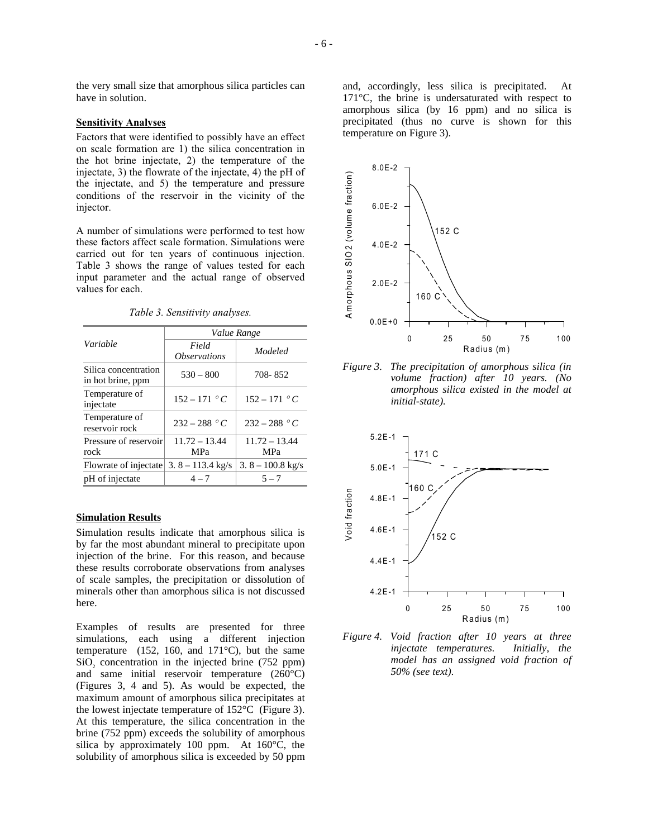the very small size that amorphous silica particles can have in solution.

# **Sensitivity Analyses**

Factors that were identified to possibly have an effect on scale formation are 1) the silica concentration in the hot brine injectate, 2) the temperature of the injectate, 3) the flowrate of the injectate, 4) the pH of the injectate, and 5) the temperature and pressure conditions of the reservoir in the vicinity of the injector.

A number of simulations were performed to test how these factors affect scale formation. Simulations were carried out for ten years of continuous injection. Table 3 shows the range of values tested for each input parameter and the actual range of observed values for each.

|  | Table 3. Sensitivity analyses. |  |
|--|--------------------------------|--|
|  |                                |  |

|                                           | Value Range                         |                     |  |
|-------------------------------------------|-------------------------------------|---------------------|--|
| Variable                                  | Field<br><i><b>Observations</b></i> | Modeled             |  |
| Silica concentration<br>in hot brine, ppm | $530 - 800$                         | 708-852             |  |
| Temperature of<br>injectate               | $152 - 171 °C$                      | $152 - 171$ °C      |  |
| Temperature of<br>reservoir rock          | $232 - 288 °C$                      | $232 - 288$ ° C     |  |
| Pressure of reservoir                     | $11.72 - 13.44$                     | $11.72 - 13.44$     |  |
| rock                                      | MPa                                 | <b>MPa</b>          |  |
| Flowrate of injectate                     | $3.8 - 113.4$ kg/s                  | 3. $8 - 100.8$ kg/s |  |
| pH of injectate                           | $4 - 7$                             | $5 - 7$             |  |

#### **Simulation Results**

Simulation results indicate that amorphous silica is by far the most abundant mineral to precipitate upon injection of the brine. For this reason, and because these results corroborate observations from analyses of scale samples, the precipitation or dissolution of minerals other than amorphous silica is not discussed here.

Examples of results are presented for three simulations, each using a different injection temperature (152, 160, and 171 $^{\circ}$ C), but the same  $SiO<sub>2</sub>$  concentration in the injected brine (752 ppm) and same initial reservoir temperature (260°C) (Figures 3, 4 and 5). As would be expected, the maximum amount of amorphous silica precipitates at the lowest injectate temperature of 152°C (Figure 3). At this temperature, the silica concentration in the brine (752 ppm) exceeds the solubility of amorphous silica by approximately 100 ppm. At 160°C, the solubility of amorphous silica is exceeded by 50 ppm and, accordingly, less silica is precipitated. At 171°C, the brine is undersaturated with respect to amorphous silica (by 16 ppm) and no silica is precipitated (thus no curve is shown for this temperature on Figure 3).



*Figure 3. The precipitation of amorphous silica (in volume fraction) after 10 years. (No amorphous silica existed in the model at initial-state).* 



*Figure 4. Void fraction after 10 years at three injectate temperatures. Initially, the model has an assigned void fraction of 50% (see text).*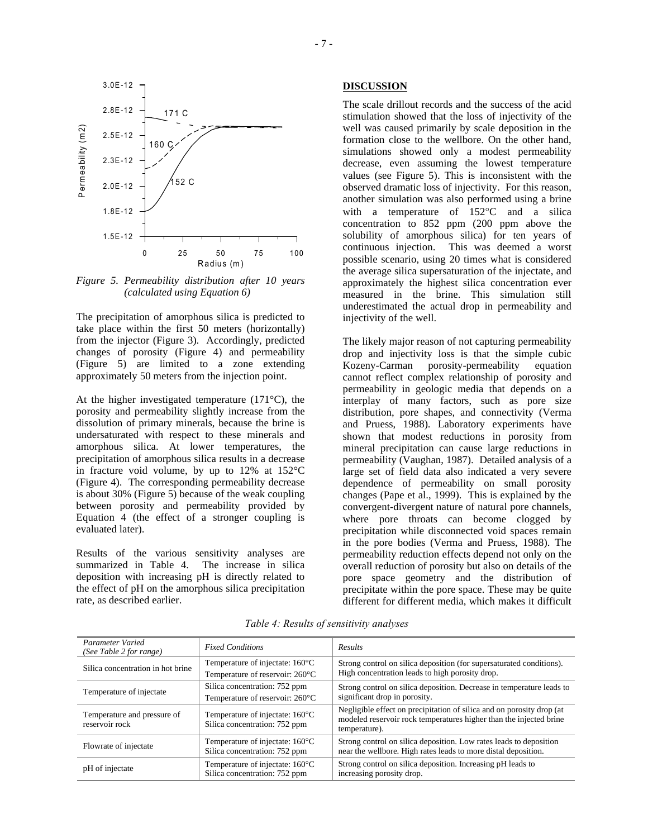

*Figure 5. Permeability distribution after 10 years (calculated using Equation 6)* 

The precipitation of amorphous silica is predicted to take place within the first 50 meters (horizontally) from the injector (Figure 3). Accordingly, predicted changes of porosity (Figure 4) and permeability (Figure 5) are limited to a zone extending approximately 50 meters from the injection point.

At the higher investigated temperature (171°C), the porosity and permeability slightly increase from the dissolution of primary minerals, because the brine is undersaturated with respect to these minerals and amorphous silica. At lower temperatures, the precipitation of amorphous silica results in a decrease in fracture void volume, by up to 12% at 152°C (Figure 4). The corresponding permeability decrease is about 30% (Figure 5) because of the weak coupling between porosity and permeability provided by Equation 4 (the effect of a stronger coupling is evaluated later).

Results of the various sensitivity analyses are summarized in Table 4. The increase in silica deposition with increasing pH is directly related to the effect of pH on the amorphous silica precipitation rate, as described earlier.

# **DISCUSSION**

The scale drillout records and the success of the acid stimulation showed that the loss of injectivity of the well was caused primarily by scale deposition in the formation close to the wellbore. On the other hand, simulations showed only a modest permeability decrease, even assuming the lowest temperature values (see Figure 5). This is inconsistent with the observed dramatic loss of injectivity. For this reason, another simulation was also performed using a brine with a temperature of 152°C and a silica concentration to 852 ppm (200 ppm above the solubility of amorphous silica) for ten years of continuous injection. This was deemed a worst possible scenario, using 20 times what is considered the average silica supersaturation of the injectate, and approximately the highest silica concentration ever measured in the brine. This simulation still underestimated the actual drop in permeability and injectivity of the well.

The likely major reason of not capturing permeability drop and injectivity loss is that the simple cubic Kozeny-Carman porosity-permeability equation cannot reflect complex relationship of porosity and permeability in geologic media that depends on a interplay of many factors, such as pore size distribution, pore shapes, and connectivity (Verma and Pruess, 1988). Laboratory experiments have shown that modest reductions in porosity from mineral precipitation can cause large reductions in permeability (Vaughan, 1987). Detailed analysis of a large set of field data also indicated a very severe dependence of permeability on small porosity changes (Pape et al., 1999). This is explained by the convergent-divergent nature of natural pore channels, where pore throats can become clogged by precipitation while disconnected void spaces remain in the pore bodies (Verma and Pruess, 1988). The permeability reduction effects depend not only on the overall reduction of porosity but also on details of the pore space geometry and the distribution of precipitate within the pore space. These may be quite different for different media, which makes it difficult

| Parameter Varied<br>(See Table 2 for range)   | <b>Fixed Conditions</b>                                                    | <b>Results</b>                                                                                                                                               |
|-----------------------------------------------|----------------------------------------------------------------------------|--------------------------------------------------------------------------------------------------------------------------------------------------------------|
| Silica concentration in hot brine             | Temperature of injectate: 160°C<br>Temperature of reservoir: 260°C         | Strong control on silica deposition (for supersaturated conditions).<br>High concentration leads to high porosity drop.                                      |
| Temperature of injectate                      | Silica concentration: 752 ppm<br>Temperature of reservoir: 260°C           | Strong control on silica deposition. Decrease in temperature leads to<br>significant drop in porosity.                                                       |
| Temperature and pressure of<br>reservoir rock | Temperature of injectate: 160°C<br>Silica concentration: 752 ppm           | Negligible effect on precipitation of silica and on porosity drop (at<br>modeled reservoir rock temperatures higher than the injected brine<br>temperature). |
| Flowrate of injectate                         | Temperature of injectate: $160^{\circ}$ C<br>Silica concentration: 752 ppm | Strong control on silica deposition. Low rates leads to deposition<br>near the wellbore. High rates leads to more distal deposition.                         |
| pH of injectate                               | Temperature of injectate: 160°C<br>Silica concentration: 752 ppm           | Strong control on silica deposition. Increasing pH leads to<br>increasing porosity drop.                                                                     |

*Table 4: Results of sensitivity analyses*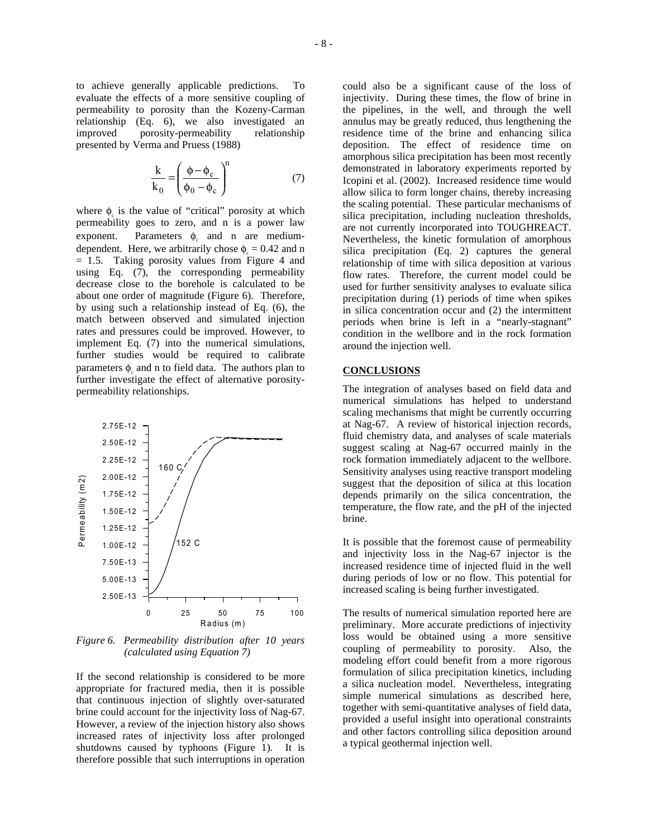to achieve generally applicable predictions. To evaluate the effects of a more sensitive coupling of permeability to porosity than the Kozeny-Carman relationship (Eq. 6), we also investigated an improved porosity-permeability relationship presented by Verma and Pruess (1988)

$$
\frac{k}{k_0} = \left(\frac{\phi - \phi_c}{\phi_0 - \phi_c}\right)^n \tag{7}
$$

where  $\phi_c$  is the value of "critical" porosity at which permeability goes to zero, and n is a power law exponent. Parameters  $\phi_c$  and n are mediumdependent. Here, we arbitrarily chose  $\phi_c = 0.42$  and n = 1.5. Taking porosity values from Figure 4 and using Eq. (7), the corresponding permeability decrease close to the borehole is calculated to be about one order of magnitude (Figure 6). Therefore, by using such a relationship instead of Eq. (6), the match between observed and simulated injection rates and pressures could be improved. However, to implement Eq. (7) into the numerical simulations, further studies would be required to calibrate parameters  $\phi_c$  and n to field data. The authors plan to further investigate the effect of alternative porositypermeability relationships.



*Figure 6. Permeability distribution after 10 years (calculated using Equation 7)* 

If the second relationship is considered to be more appropriate for fractured media, then it is possible that continuous injection of slightly over-saturated brine could account for the injectivity loss of Nag-67. However, a review of the injection history also shows increased rates of injectivity loss after prolonged shutdowns caused by typhoons (Figure 1). It is therefore possible that such interruptions in operation could also be a significant cause of the loss of injectivity. During these times, the flow of brine in the pipelines, in the well, and through the well annulus may be greatly reduced, thus lengthening the residence time of the brine and enhancing silica deposition. The effect of residence time on amorphous silica precipitation has been most recently demonstrated in laboratory experiments reported by Icopini et al. (2002). Increased residence time would allow silica to form longer chains, thereby increasing the scaling potential. These particular mechanisms of silica precipitation, including nucleation thresholds, are not currently incorporated into TOUGHREACT. Nevertheless, the kinetic formulation of amorphous silica precipitation (Eq. 2) captures the general relationship of time with silica deposition at various flow rates. Therefore, the current model could be used for further sensitivity analyses to evaluate silica precipitation during (1) periods of time when spikes in silica concentration occur and (2) the intermittent periods when brine is left in a "nearly-stagnant" condition in the wellbore and in the rock formation around the injection well.

### **CONCLUSIONS**

The integration of analyses based on field data and numerical simulations has helped to understand scaling mechanisms that might be currently occurring at Nag-67. A review of historical injection records, fluid chemistry data, and analyses of scale materials suggest scaling at Nag-67 occurred mainly in the rock formation immediately adjacent to the wellbore. Sensitivity analyses using reactive transport modeling suggest that the deposition of silica at this location depends primarily on the silica concentration, the temperature, the flow rate, and the pH of the injected brine.

It is possible that the foremost cause of permeability and injectivity loss in the Nag-67 injector is the increased residence time of injected fluid in the well during periods of low or no flow. This potential for increased scaling is being further investigated.

The results of numerical simulation reported here are preliminary. More accurate predictions of injectivity loss would be obtained using a more sensitive coupling of permeability to porosity. Also, the modeling effort could benefit from a more rigorous formulation of silica precipitation kinetics, including a silica nucleation model. Nevertheless, integrating simple numerical simulations as described here, together with semi-quantitative analyses of field data, provided a useful insight into operational constraints and other factors controlling silica deposition around a typical geothermal injection well.